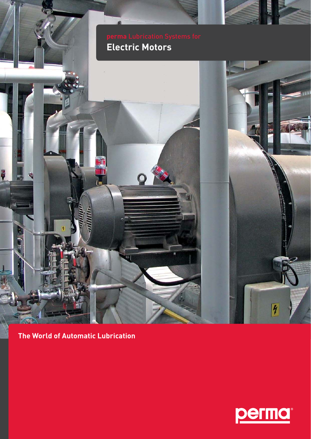**Electric Motors**'n  $\overline{\mathcal{H}}$ 

**The World of Automatic Lubrication**

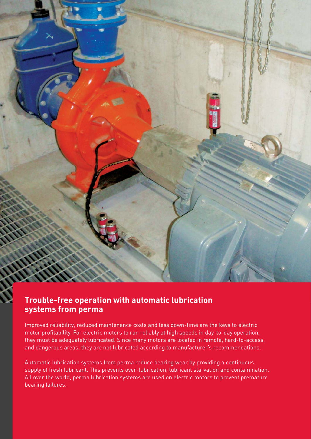# **Trouble-free operation with automatic lubrication**

## **systems from perma**

Improved reliability, reduced maintenance costs and less down-time are the keys to electric motor profitability. For electric motors to run reliably at high speeds in day-to-day operation, they must be adequately lubricated. Since many motors are located in remote, hard-to-access, and dangerous areas, they are not lubricated according to manufacturer's recommendations.

Automatic lubrication systems from perma reduce bearing wear by providing a continuous supply of fresh lubricant. This prevents over-lubrication, lubricant starvation and contamination. All over the world, perma lubrication systems are used on electric motors to prevent premature bearing failures.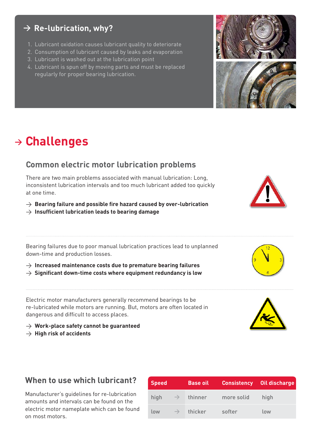#### **> Re-lubrication, why?**

- 1. Lubricant oxidation causes lubricant quality to deteriorate
- 2. Consumption of lubricant caused by leaks and evaporation
- 3. Lubricant is washed out at the lubrication point
- 4. Lubricant is spun off by moving parts and must be replaced regularly for proper bearing lubrication.

## **<sup>&</sup>gt; Challenges**

#### **Common electric motor lubrication problems**

There are two main problems associated with manual lubrication: Long, inconsistent lubrication intervals and too much lubricant added too quickly at one time.

- $\rightarrow$  Bearing failure and possible fire hazard caused by over-lubrication
- $\rightarrow$  Insufficient lubrication leads to bearing damage

Bearing failures due to poor manual lubrication practices lead to unplanned down-time and production losses.

- $\rightarrow$  Increased maintenance costs due to premature bearing failures
- $\rightarrow$  Significant down-time costs where equipment redundancy is low

Electric motor manufacturers generally recommend bearings to be re-lubricated while motors are running. But, motors are often located in dangerous and difficult to access places.

- > **Work-place safety cannot be guaranteed**
- > **High risk of accidents**

### **When to use which lubricant?**

Manufacturer's guidelines for re-lubrication amounts and intervals can be found on the electric motor nameplate which can be found on most motors.

| <b>Speed</b> |               | <b>Base oil</b> | <b>Consistency</b> | Oil discharge' |
|--------------|---------------|-----------------|--------------------|----------------|
| high         | $\rightarrow$ | thinner         | more solid         | high           |
| low          | $\rightarrow$ | thicker         | softer             | low            |











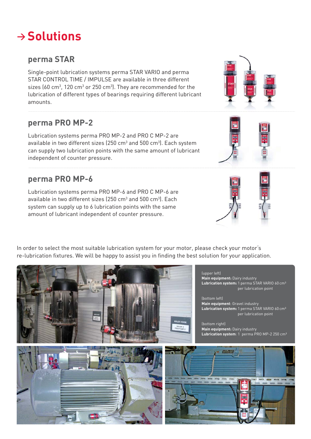## **<sup>&</sup>gt; Solutions**

#### **perma STAR**

Single-point lubrication systems perma STAR VARIO and perma STAR CONTROL TIME / IMPULSE are available in three different sizes (60 cm $^3$ , 120 cm $^3$  or 250 cm $^3$ ). They are recommended for the lubrication of different types of bearings requiring different lubricant amounts.

### **perma PRO MP-2**

Lubrication systems perma PRO MP-2 and PRO C MP-2 are available in two different sizes (250  $\textsf{cm}^{3}$  and 500  $\textsf{cm}^{3}$ ). Each system can supply two lubrication points with the same amount of lubricant independent of counter pressure.

#### **perma PRO MP-6**

Lubrication systems perma PRO MP-6 and PRO C MP-6 are available in two different sizes (250  $\textsf{cm}^{3}$  and 500  $\textsf{cm}^{3}$ ). Each system can supply up to 6 lubrication points with the same amount of lubricant independent of counter pressure.

In order to select the most suitable lubrication system for your motor, please check your motor's re-lubrication fixtures. We will be happy to assist you in finding the best solution for your application.

**Lubrication system**: 1 perma PRO MP-2 250 cm³

(upper left) **Main equipment:** Dairy industry

**Lubrication system:** 1 perma STAR VARIO 60 cm³ per lubrication point

(bottom left) **Main equipment**: Gravel industry **Lubrication system:** 1 perma STAR VARIO 60 cm³ per lubrication point

(bottom right) **Main equipment:** Dairy industry



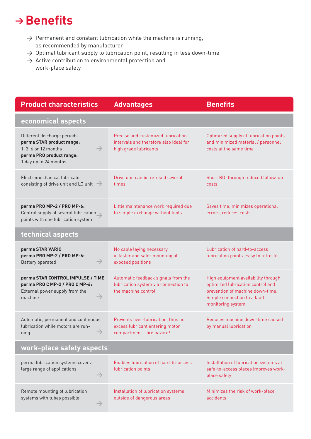## **→ Benefits**

- $\rightarrow$  Permanent and constant lubrication while the machine is running, as recommended by manufacturer
- $\rightarrow$  Optimal lubricant supply to lubrication point, resulting in less down-time
- $\rightarrow$  Active contribution to environmental protection and work-place safety

| <b>Product characteristics</b>                                                                                                                         | <b>Advantages</b>                                                                                     | <b>Benefits</b>                                                                                                                                                   |  |  |  |
|--------------------------------------------------------------------------------------------------------------------------------------------------------|-------------------------------------------------------------------------------------------------------|-------------------------------------------------------------------------------------------------------------------------------------------------------------------|--|--|--|
| economical aspects                                                                                                                                     |                                                                                                       |                                                                                                                                                                   |  |  |  |
| Different discharge periods<br>perma STAR product range:<br>$\rightarrow$<br>1, 3, 6 or 12 months<br>perma PRO product range:<br>1 day up to 24 months | Precise and customized lubrication<br>intervals and therefore also ideal for<br>high grade lubricants | Optimized supply of lubrication points<br>and minimized material / personnel<br>costs at the same time                                                            |  |  |  |
| Electromechanical lubricator<br>consisting of drive unit and LC unit $\rightarrow$                                                                     | Drive unit can be re-used several<br>times                                                            | Short ROI through reduced follow-up<br>costs                                                                                                                      |  |  |  |
| perma PRO MP-2 / PRO MP-6:<br>Central supply of several lubrication<br>points with one lubrication system                                              | Little maintenance work required due<br>to simple exchange without tools                              | Saves time, minimizes operational<br>errors, reduces costs                                                                                                        |  |  |  |
| technical aspects                                                                                                                                      |                                                                                                       |                                                                                                                                                                   |  |  |  |
| perma STAR VARIO<br>perma PRO MP-2 / PRO MP-6:<br>$\rightarrow$<br>Battery operated                                                                    | No cable laying necessary<br>= faster and safer mounting at<br>exposed positions                      | Lubrication of hard-to-access<br>lubrication points. Easy to retro-fit.                                                                                           |  |  |  |
| perma STAR CONTROL IMPULSE / TIME<br>perma PRO C MP-2 / PRO C MP-6:<br>External power supply from the<br>$\rightarrow$<br>machine                      | Automatic feedback signals from the<br>lubrication system via connection to<br>the machine control    | High equipment availability through<br>optimized lubrication control and<br>prevention of machine down-time.<br>Simple connection to a fault<br>monitoring system |  |  |  |
| Automatic, permanent and continuous<br>lubrication while motors are run-<br>ning                                                                       | Prevents over-lubrication, thus no<br>excess lubricant entering motor<br>compartment - fire hazard!   | Reduces machine down-time caused<br>by manual lubrication                                                                                                         |  |  |  |
| work-place safety aspects                                                                                                                              |                                                                                                       |                                                                                                                                                                   |  |  |  |
| perma lubrication systems cover a<br>large range of applications<br>$\rightarrow$                                                                      | Enables lubrication of hard-to-access<br>lubrication points                                           | Installation of lubrication systems at<br>safe-to-access places improves work-<br>place safety                                                                    |  |  |  |
| Remote mounting of lubrication<br>systems with tubes possible<br>$\rightarrow$                                                                         | Installation of lubrication systems<br>outside of dangerous areas                                     | Minimizes the risk of work-place<br>accidents                                                                                                                     |  |  |  |